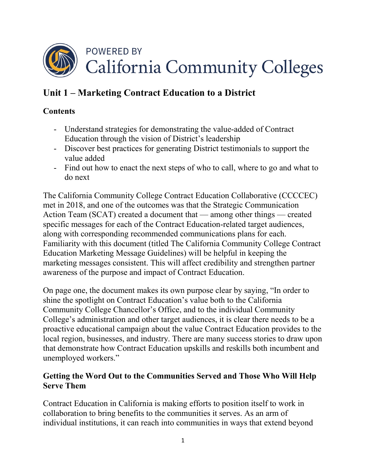

# **Unit 1 – Marketing Contract Education to a District**

# **Contents**

- Understand strategies for demonstrating the value-added of Contract Education through the vision of District's leadership
- Discover best practices for generating District testimonials to support the value added
- Find out how to enact the next steps of who to call, where to go and what to do next

The California Community College Contract Education Collaborative (CCCCEC) met in 2018, and one of the outcomes was that the Strategic Communication Action Team (SCAT) created a document that — among other things — created specific messages for each of the Contract Education-related target audiences, along with corresponding recommended communications plans for each. Familiarity with this document (titled The California Community College Contract Education Marketing Message Guidelines) will be helpful in keeping the marketing messages consistent. This will affect credibility and strengthen partner awareness of the purpose and impact of Contract Education.

On page one, the document makes its own purpose clear by saying, "In order to shine the spotlight on Contract Education's value both to the California Community College Chancellor's Office, and to the individual Community College's administration and other target audiences, it is clear there needs to be a proactive educational campaign about the value Contract Education provides to the local region, businesses, and industry. There are many success stories to draw upon that demonstrate how Contract Education upskills and reskills both incumbent and unemployed workers."

### **Getting the Word Out to the Communities Served and Those Who Will Help Serve Them**

Contract Education in California is making efforts to position itself to work in collaboration to bring benefits to the communities it serves. As an arm of individual institutions, it can reach into communities in ways that extend beyond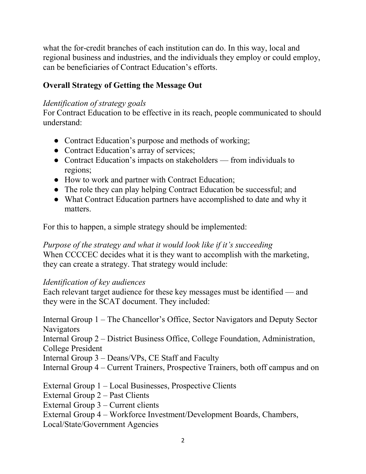what the for-credit branches of each institution can do. In this way, local and regional business and industries, and the individuals they employ or could employ, can be beneficiaries of Contract Education's efforts.

# **Overall Strategy of Getting the Message Out**

#### *Identification of strategy goals*

For Contract Education to be effective in its reach, people communicated to should understand:

- Contract Education's purpose and methods of working;
- Contract Education's array of services;
- Contract Education's impacts on stakeholders from individuals to regions;
- How to work and partner with Contract Education;
- The role they can play helping Contract Education be successful; and
- What Contract Education partners have accomplished to date and why it matters.

For this to happen, a simple strategy should be implemented:

*Purpose of the strategy and what it would look like if it's succeeding* When CCCCEC decides what it is they want to accomplish with the marketing, they can create a strategy. That strategy would include:

#### *Identification of key audiences*

Each relevant target audience for these key messages must be identified — and they were in the SCAT document. They included:

Internal Group 1 – The Chancellor's Office, Sector Navigators and Deputy Sector Navigators Internal Group 2 – District Business Office, College Foundation, Administration, College President Internal Group 3 – Deans/VPs, CE Staff and Faculty Internal Group 4 – Current Trainers, Prospective Trainers, both off campus and on External Group 1 – Local Businesses, Prospective Clients External Group 2 – Past Clients External Group 3 – Current clients External Group 4 – Workforce Investment/Development Boards, Chambers,

Local/State/Government Agencies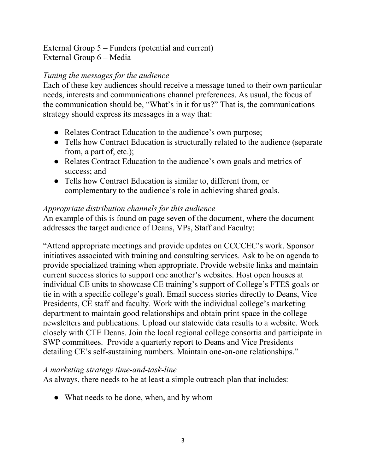External Group 5 – Funders (potential and current) External Group 6 – Media

### *Tuning the messages for the audience*

Each of these key audiences should receive a message tuned to their own particular needs, interests and communications channel preferences. As usual, the focus of the communication should be, "What's in it for us?" That is, the communications strategy should express its messages in a way that:

- Relates Contract Education to the audience's own purpose;
- Tells how Contract Education is structurally related to the audience (separate from, a part of, etc.);
- Relates Contract Education to the audience's own goals and metrics of success; and
- Tells how Contract Education is similar to, different from, or complementary to the audience's role in achieving shared goals.

#### *Appropriate distribution channels for this audience*

An example of this is found on page seven of the document, where the document addresses the target audience of Deans, VPs, Staff and Faculty:

"Attend appropriate meetings and provide updates on CCCCEC's work. Sponsor initiatives associated with training and consulting services. Ask to be on agenda to provide specialized training when appropriate. Provide website links and maintain current success stories to support one another's websites. Host open houses at individual CE units to showcase CE training's support of College's FTES goals or tie in with a specific college's goal). Email success stories directly to Deans, Vice Presidents, CE staff and faculty. Work with the individual college's marketing department to maintain good relationships and obtain print space in the college newsletters and publications. Upload our statewide data results to a website. Work closely with CTE Deans. Join the local regional college consortia and participate in SWP committees. Provide a quarterly report to Deans and Vice Presidents detailing CE's self-sustaining numbers. Maintain one-on-one relationships."

#### *A marketing strategy time-and-task-line*

As always, there needs to be at least a simple outreach plan that includes:

• What needs to be done, when, and by whom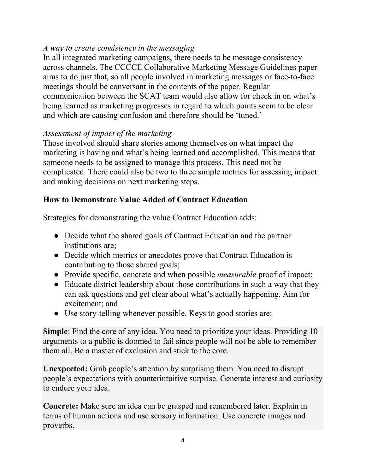# *A way to create consistency in the messaging*

In all integrated marketing campaigns, there needs to be message consistency across channels. The CCCCE Collaborative Marketing Message Guidelines paper aims to do just that, so all people involved in marketing messages or face-to-face meetings should be conversant in the contents of the paper. Regular communication between the SCAT team would also allow for check in on what's being learned as marketing progresses in regard to which points seem to be clear and which are causing confusion and therefore should be 'tuned.'

### *Assessment of impact of the marketing*

Those involved should share stories among themselves on what impact the marketing is having and what's being learned and accomplished. This means that someone needs to be assigned to manage this process. This need not be complicated. There could also be two to three simple metrics for assessing impact and making decisions on next marketing steps.

### **How to Demonstrate Value Added of Contract Education**

Strategies for demonstrating the value Contract Education adds:

- Decide what the shared goals of Contract Education and the partner institutions are;
- Decide which metrics or anecdotes prove that Contract Education is contributing to those shared goals;
- Provide specific, concrete and when possible *measurable* proof of impact;
- Educate district leadership about those contributions in such a way that they can ask questions and get clear about what's actually happening. Aim for excitement; and
- Use story-telling whenever possible. Keys to good stories are:

**Simple**: Find the core of any idea. You need to prioritize your ideas. Providing 10 arguments to a public is doomed to fail since people will not be able to remember them all. Be a master of exclusion and stick to the core.

**Unexpected:** Grab people's attention by surprising them. You need to disrupt people's expectations with counterintuitive surprise. Generate interest and curiosity to endure your idea.

**Concrete:** Make sure an idea can be grasped and remembered later. Explain in terms of human actions and use sensory information. Use concrete images and proverbs.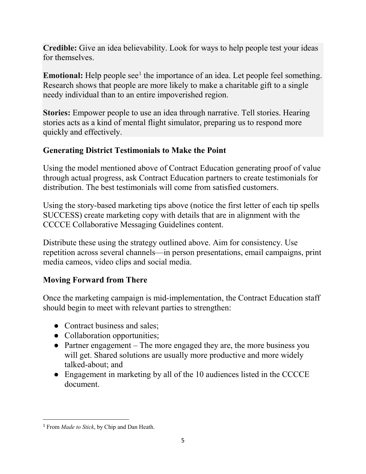**Credible:** Give an idea believability. Look for ways to help people test your ideas for themselves.

**Emotional:** Help people see<sup>[1](#page-4-0)</sup> the importance of an idea. Let people feel something. Research shows that people are more likely to make a charitable gift to a single needy individual than to an entire impoverished region.

**Stories:** Empower people to use an idea through narrative. Tell stories. Hearing stories acts as a kind of mental flight simulator, preparing us to respond more quickly and effectively.

## **Generating District Testimonials to Make the Point**

Using the model mentioned above of Contract Education generating proof of value through actual progress, ask Contract Education partners to create testimonials for distribution. The best testimonials will come from satisfied customers.

Using the story-based marketing tips above (notice the first letter of each tip spells SUCCESS) create marketing copy with details that are in alignment with the CCCCE Collaborative Messaging Guidelines content.

Distribute these using the strategy outlined above. Aim for consistency. Use repetition across several channels—in person presentations, email campaigns, print media cameos, video clips and social media.

# **Moving Forward from There**

Once the marketing campaign is mid-implementation, the Contract Education staff should begin to meet with relevant parties to strengthen:

- Contract business and sales;
- Collaboration opportunities;
- Partner engagement The more engaged they are, the more business you will get. Shared solutions are usually more productive and more widely talked-about; and
- Engagement in marketing by all of the 10 audiences listed in the CCCCE document.

 $\overline{\phantom{a}}$ 

<span id="page-4-0"></span><sup>1</sup> From *Made to Stick*, by Chip and Dan Heath.